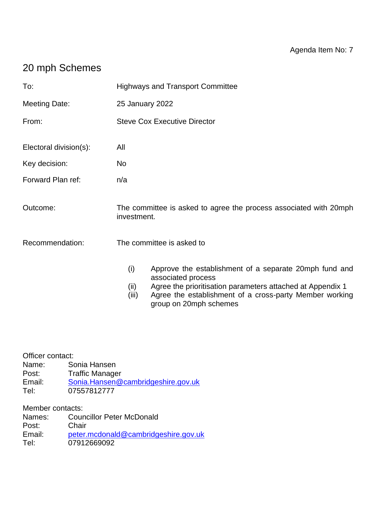# 20 mph Schemes

| To:                    | <b>Highways and Transport Committee</b>                                                                                                                                                                                                                 |
|------------------------|---------------------------------------------------------------------------------------------------------------------------------------------------------------------------------------------------------------------------------------------------------|
| <b>Meeting Date:</b>   | 25 January 2022                                                                                                                                                                                                                                         |
| From:                  | <b>Steve Cox Executive Director</b>                                                                                                                                                                                                                     |
| Electoral division(s): | All                                                                                                                                                                                                                                                     |
| Key decision:          | No                                                                                                                                                                                                                                                      |
| Forward Plan ref:      | n/a                                                                                                                                                                                                                                                     |
| Outcome:               | The committee is asked to agree the process associated with 20mph<br>investment.                                                                                                                                                                        |
| Recommendation:        | The committee is asked to                                                                                                                                                                                                                               |
|                        | (i)<br>Approve the establishment of a separate 20mph fund and<br>associated process<br>Agree the prioritisation parameters attached at Appendix 1<br>(ii)<br>Agree the establishment of a cross-party Member working<br>(iii)<br>group on 20mph schemes |

Officer contact:

Name: Sonia Hansen<br>Post: Traffic Manage **Traffic Manager** Email: [Sonia.Hansen@cambridgeshire.gov.uk](mailto:Sonia.Hansen@cambridgeshire.gov.uk)<br>Tel: 07557812777 07557812777

Member contacts:

| Names: | <b>Councillor Peter McDonald</b>     |
|--------|--------------------------------------|
| Post:  | Chair                                |
| Email: | peter.mcdonald@cambridgeshire.gov.uk |
| Tel:   | 07912669092                          |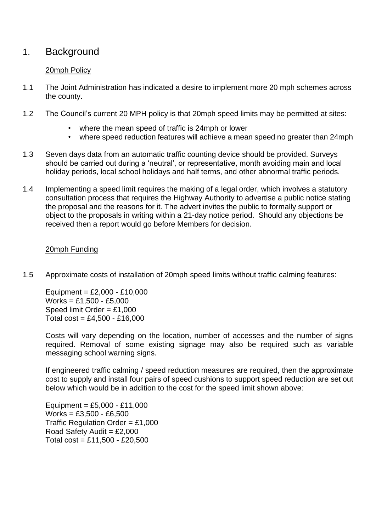# 1. Background

### 20mph Policy

- 1.1 The Joint Administration has indicated a desire to implement more 20 mph schemes across the county.
- 1.2 The Council's current 20 MPH policy is that 20mph speed limits may be permitted at sites:
	- where the mean speed of traffic is 24mph or lower
	- where speed reduction features will achieve a mean speed no greater than 24mph
- 1.3 Seven days data from an automatic traffic counting device should be provided. Surveys should be carried out during a 'neutral', or representative, month avoiding main and local holiday periods, local school holidays and half terms, and other abnormal traffic periods.
- 1.4 Implementing a speed limit requires the making of a legal order, which involves a statutory consultation process that requires the Highway Authority to advertise a public notice stating the proposal and the reasons for it. The advert invites the public to formally support or object to the proposals in writing within a 21-day notice period. Should any objections be received then a report would go before Members for decision.

#### 20mph Funding

1.5 Approximate costs of installation of 20mph speed limits without traffic calming features:

Equipment =  $£2,000 - £10,000$  $Works = £1.500 - £5.000$ Speed limit Order = £1,000 Total  $cost = £4,500 - £16,000$ 

Costs will vary depending on the location, number of accesses and the number of signs required. Removal of some existing signage may also be required such as variable messaging school warning signs.

If engineered traffic calming / speed reduction measures are required, then the approximate cost to supply and install four pairs of speed cushions to support speed reduction are set out below which would be in addition to the cost for the speed limit shown above:

Equipment =  $£5,000 - £11,000$  $Works = £3,500 - £6,500$ Traffic Regulation Order =  $£1,000$ Road Safety Audit =  $£2.000$ Total  $cost = £11,500 - £20,500$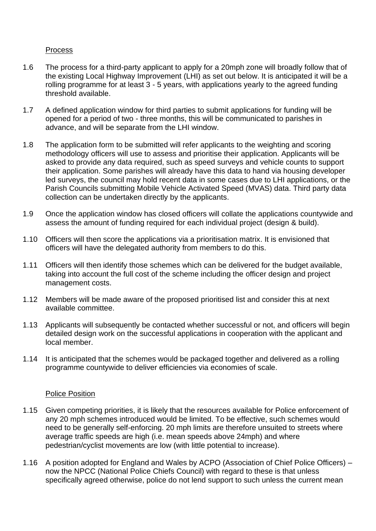### Process

- 1.6 The process for a third-party applicant to apply for a 20mph zone will broadly follow that of the existing Local Highway Improvement (LHI) as set out below. It is anticipated it will be a rolling programme for at least 3 - 5 years, with applications yearly to the agreed funding threshold available.
- 1.7 A defined application window for third parties to submit applications for funding will be opened for a period of two - three months, this will be communicated to parishes in advance, and will be separate from the LHI window.
- 1.8 The application form to be submitted will refer applicants to the weighting and scoring methodology officers will use to assess and prioritise their application. Applicants will be asked to provide any data required, such as speed surveys and vehicle counts to support their application. Some parishes will already have this data to hand via housing developer led surveys, the council may hold recent data in some cases due to LHI applications, or the Parish Councils submitting Mobile Vehicle Activated Speed (MVAS) data. Third party data collection can be undertaken directly by the applicants.
- 1.9 Once the application window has closed officers will collate the applications countywide and assess the amount of funding required for each individual project (design & build).
- 1.10 Officers will then score the applications via a prioritisation matrix. It is envisioned that officers will have the delegated authority from members to do this.
- 1.11 Officers will then identify those schemes which can be delivered for the budget available, taking into account the full cost of the scheme including the officer design and project management costs.
- 1.12 Members will be made aware of the proposed prioritised list and consider this at next available committee.
- 1.13 Applicants will subsequently be contacted whether successful or not, and officers will begin detailed design work on the successful applications in cooperation with the applicant and local member.
- 1.14 It is anticipated that the schemes would be packaged together and delivered as a rolling programme countywide to deliver efficiencies via economies of scale.

#### Police Position

- 1.15 Given competing priorities, it is likely that the resources available for Police enforcement of any 20 mph schemes introduced would be limited. To be effective, such schemes would need to be generally self-enforcing. 20 mph limits are therefore unsuited to streets where average traffic speeds are high (i.e. mean speeds above 24mph) and where pedestrian/cyclist movements are low (with little potential to increase).
- 1.16 A position adopted for England and Wales by ACPO (Association of Chief Police Officers) now the NPCC (National Police Chiefs Council) with regard to these is that unless specifically agreed otherwise, police do not lend support to such unless the current mean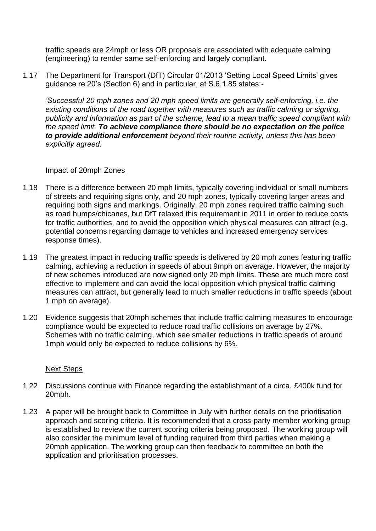traffic speeds are 24mph or less OR proposals are associated with adequate calming (engineering) to render same self-enforcing and largely compliant.

1.17 The Department for Transport (DfT) Circular 01/2013 'Setting Local Speed Limits' gives guidance re 20's (Section 6) and in particular, at S.6.1.85 states:-

*'Successful 20 mph zones and 20 mph speed limits are generally self-enforcing, i.e. the existing conditions of the road together with measures such as traffic calming or signing, publicity and information as part of the scheme, lead to a mean traffic speed compliant with the speed limit. To achieve compliance there should be no expectation on the police to provide additional enforcement beyond their routine activity, unless this has been explicitly agreed.*

#### Impact of 20mph Zones

- 1.18 There is a difference between 20 mph limits, typically covering individual or small numbers of streets and requiring signs only, and 20 mph zones, typically covering larger areas and requiring both signs and markings. Originally, 20 mph zones required traffic calming such as road humps/chicanes, but DfT relaxed this requirement in 2011 in order to reduce costs for traffic authorities, and to avoid the opposition which physical measures can attract (e.g. potential concerns regarding damage to vehicles and increased emergency services response times).
- 1.19 The greatest impact in reducing traffic speeds is delivered by 20 mph zones featuring traffic calming, achieving a reduction in speeds of about 9mph on average. However, the majority of new schemes introduced are now signed only 20 mph limits. These are much more cost effective to implement and can avoid the local opposition which physical traffic calming measures can attract, but generally lead to much smaller reductions in traffic speeds (about 1 mph on average).
- 1.20 Evidence suggests that 20mph schemes that include traffic calming measures to encourage compliance would be expected to reduce road traffic collisions on average by 27%. Schemes with no traffic calming, which see smaller reductions in traffic speeds of around 1mph would only be expected to reduce collisions by 6%.

#### Next Steps

- 1.22 Discussions continue with Finance regarding the establishment of a circa. £400k fund for 20mph.
- 1.23 A paper will be brought back to Committee in July with further details on the prioritisation approach and scoring criteria. It is recommended that a cross-party member working group is established to review the current scoring criteria being proposed. The working group will also consider the minimum level of funding required from third parties when making a 20mph application. The working group can then feedback to committee on both the application and prioritisation processes.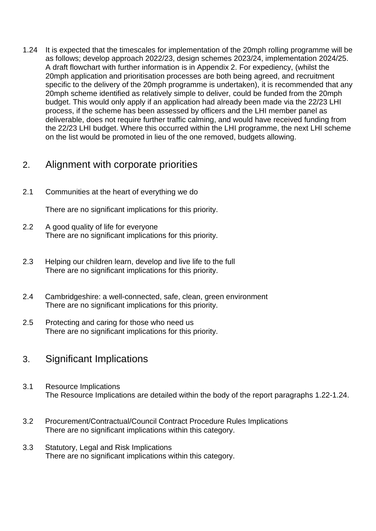1.24 It is expected that the timescales for implementation of the 20mph rolling programme will be as follows; develop approach 2022/23, design schemes 2023/24, implementation 2024/25. A draft flowchart with further information is in Appendix 2. For expediency, (whilst the 20mph application and prioritisation processes are both being agreed, and recruitment specific to the delivery of the 20mph programme is undertaken), it is recommended that any 20mph scheme identified as relatively simple to deliver, could be funded from the 20mph budget. This would only apply if an application had already been made via the 22/23 LHI process, if the scheme has been assessed by officers and the LHI member panel as deliverable, does not require further traffic calming, and would have received funding from the 22/23 LHI budget. Where this occurred within the LHI programme, the next LHI scheme on the list would be promoted in lieu of the one removed, budgets allowing.

# 2. Alignment with corporate priorities

2.1 Communities at the heart of everything we do

There are no significant implications for this priority.

- 2.2 A good quality of life for everyone There are no significant implications for this priority.
- 2.3 Helping our children learn, develop and live life to the full There are no significant implications for this priority.
- 2.4 Cambridgeshire: a well-connected, safe, clean, green environment There are no significant implications for this priority.
- 2.5 Protecting and caring for those who need us There are no significant implications for this priority.

# 3. Significant Implications

- 3.1 Resource Implications The Resource Implications are detailed within the body of the report paragraphs 1.22-1.24.
- 3.2 Procurement/Contractual/Council Contract Procedure Rules Implications There are no significant implications within this category.
- 3.3 Statutory, Legal and Risk Implications There are no significant implications within this category.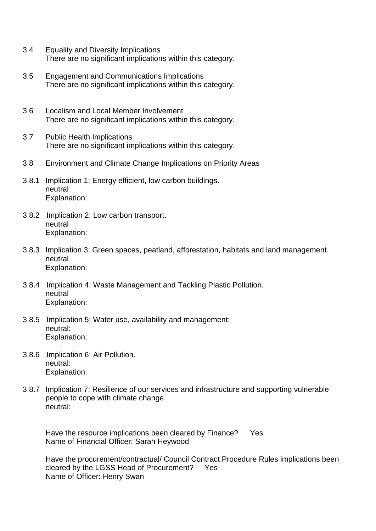- 3.4 Equality and Diversity Implications There are no significant implications within this category.
- 3.5 Engagement and Communications Implications There are no significant implications within this category.
- 3.6 Localism and Local Member Involvement There are no significant implications within this category.
- 3.7 Public Health Implications There are no significant implications within this category.
- 3.8 Environment and Climate Change Implications on Priority Areas
- 3.8.1 Implication 1: Energy efficient, low carbon buildings. neutral Explanation:
- 3.8.2 Implication 2: Low carbon transport. neutral Explanation:
- 3.8.3 Implication 3: Green spaces, peatland, afforestation, habitats and land management. neutral Explanation:
- 3.8.4 Implication 4: Waste Management and Tackling Plastic Pollution. neutral Explanation:
- 3.8.5 Implication 5: Water use, availability and management: neutral: Explanation:
- 3.8.6 Implication 6: Air Pollution. neutral: Explanation:
- 3.8.7 Implication 7: Resilience of our services and infrastructure and supporting vulnerable people to cope with climate change. neutral:

Have the resource implications been cleared by Finance? Yes Name of Financial Officer: Sarah Heywood

Have the procurement/contractual/ Council Contract Procedure Rules implications been cleared by the LGSS Head of Procurement? Yes Name of Officer: Henry Swan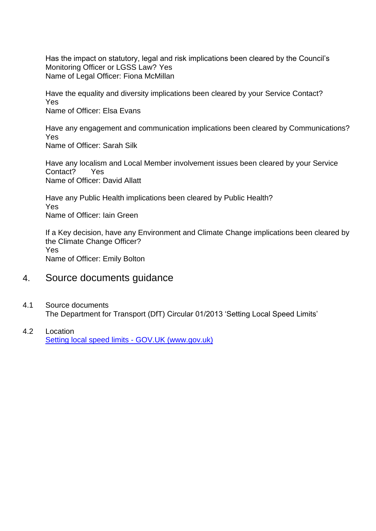Has the impact on statutory, legal and risk implications been cleared by the Council's Monitoring Officer or LGSS Law? Yes Name of Legal Officer: Fiona McMillan

Have the equality and diversity implications been cleared by your Service Contact? Yes Name of Officer: Elsa Evans

Have any engagement and communication implications been cleared by Communications? Yes Name of Officer: Sarah Silk

Have any localism and Local Member involvement issues been cleared by your Service Contact? Yes Name of Officer: David Allatt

Have any Public Health implications been cleared by Public Health? Yes Name of Officer: Iain Green

If a Key decision, have any Environment and Climate Change implications been cleared by the Climate Change Officer? Yes Name of Officer: Emily Bolton

## 4. Source documents guidance

- 4.1 Source documents The Department for Transport (DfT) Circular 01/2013 'Setting Local Speed Limits'
- 4.2 Location Setting local speed limits - GOV.UK (www.gov.uk)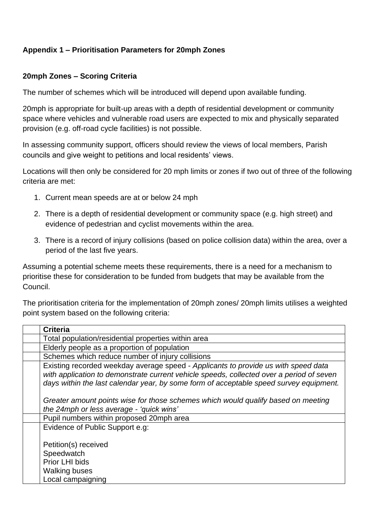### **Appendix 1 – Prioritisation Parameters for 20mph Zones**

### **20mph Zones – Scoring Criteria**

The number of schemes which will be introduced will depend upon available funding.

20mph is appropriate for built-up areas with a depth of residential development or community space where vehicles and vulnerable road users are expected to mix and physically separated provision (e.g. off-road cycle facilities) is not possible.

In assessing community support, officers should review the views of local members, Parish councils and give weight to petitions and local residents' views.

Locations will then only be considered for 20 mph limits or zones if two out of three of the following criteria are met:

- 1. Current mean speeds are at or below 24 mph
- 2. There is a depth of residential development or community space (e.g. high street) and evidence of pedestrian and cyclist movements within the area.
- 3. There is a record of injury collisions (based on police collision data) within the area, over a period of the last five years.

Assuming a potential scheme meets these requirements, there is a need for a mechanism to prioritise these for consideration to be funded from budgets that may be available from the Council.

The prioritisation criteria for the implementation of 20mph zones/ 20mph limits utilises a weighted point system based on the following criteria:

| <b>Criteria</b>                                                                                                                                                                                                                                                          |  |
|--------------------------------------------------------------------------------------------------------------------------------------------------------------------------------------------------------------------------------------------------------------------------|--|
| Total population/residential properties within area                                                                                                                                                                                                                      |  |
| Elderly people as a proportion of population                                                                                                                                                                                                                             |  |
| Schemes which reduce number of injury collisions                                                                                                                                                                                                                         |  |
| Existing recorded weekday average speed - Applicants to provide us with speed data<br>with application to demonstrate current vehicle speeds, collected over a period of seven<br>days within the last calendar year, by some form of acceptable speed survey equipment. |  |
| Greater amount points wise for those schemes which would qualify based on meeting<br>the 24mph or less average - 'quick wins'                                                                                                                                            |  |
| Pupil numbers within proposed 20mph area                                                                                                                                                                                                                                 |  |
| Evidence of Public Support e.g:                                                                                                                                                                                                                                          |  |
| Petition(s) received                                                                                                                                                                                                                                                     |  |
| Speedwatch                                                                                                                                                                                                                                                               |  |
| Prior LHI bids                                                                                                                                                                                                                                                           |  |
| <b>Walking buses</b>                                                                                                                                                                                                                                                     |  |
| Local campaigning                                                                                                                                                                                                                                                        |  |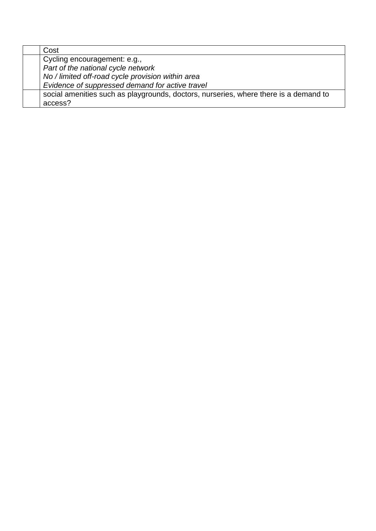| Cost                                                                                 |
|--------------------------------------------------------------------------------------|
| Cycling encouragement: e.g.,                                                         |
| Part of the national cycle network                                                   |
| No / limited off-road cycle provision within area                                    |
| Evidence of suppressed demand for active travel                                      |
| social amenities such as playgrounds, doctors, nurseries, where there is a demand to |
| access?                                                                              |